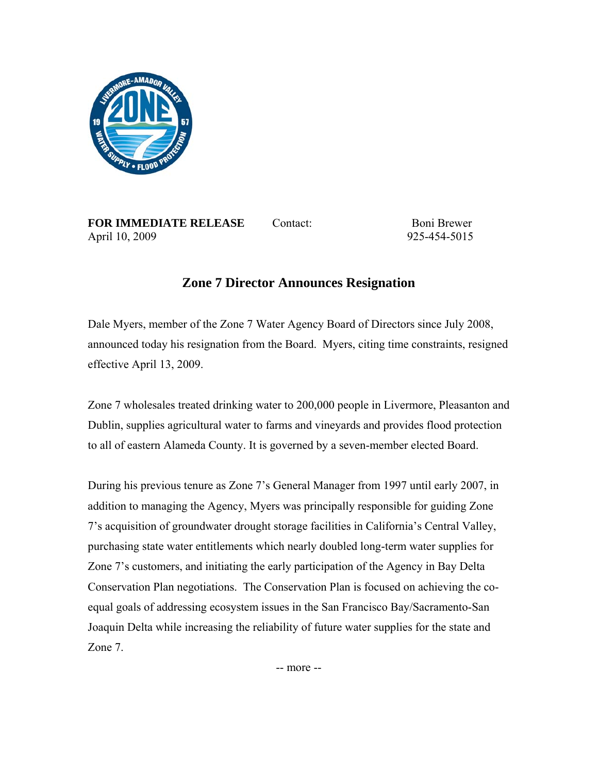

**FOR IMMEDIATE RELEASE** Contact: Boni Brewer April 10, 2009 925-454-5015

## **Zone 7 Director Announces Resignation**

Dale Myers, member of the Zone 7 Water Agency Board of Directors since July 2008, announced today his resignation from the Board. Myers, citing time constraints, resigned effective April 13, 2009.

Zone 7 wholesales treated drinking water to 200,000 people in Livermore, Pleasanton and Dublin, supplies agricultural water to farms and vineyards and provides flood protection to all of eastern Alameda County. It is governed by a seven-member elected Board.

During his previous tenure as Zone 7's General Manager from 1997 until early 2007, in addition to managing the Agency, Myers was principally responsible for guiding Zone 7's acquisition of groundwater drought storage facilities in California's Central Valley, purchasing state water entitlements which nearly doubled long-term water supplies for Zone 7's customers, and initiating the early participation of the Agency in Bay Delta Conservation Plan negotiations. The Conservation Plan is focused on achieving the coequal goals of addressing ecosystem issues in the San Francisco Bay/Sacramento-San Joaquin Delta while increasing the reliability of future water supplies for the state and Zone 7.

-- more --